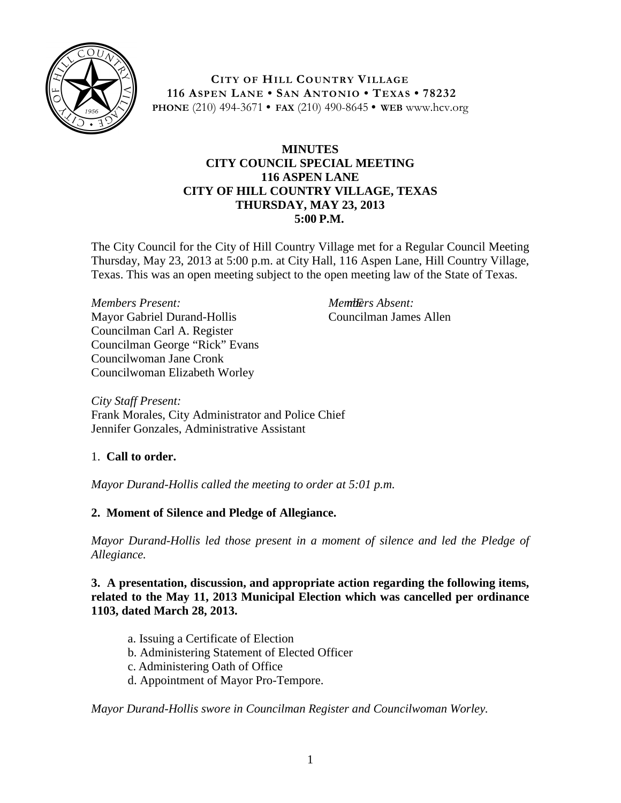

**CITY OF HILL COUNTRY VILLAGE 116 ASPEN LANE • SAN ANTONIO • TEXAS • 78232 PHONE** (210) 494-3671 **• FAX** (210) 490-8645 **• WEB** www.hcv.org

# **MINUTES CITY COUNCIL SPECIAL MEETING 116 ASPEN LANE CITY OF HILL COUNTRY VILLAGE, TEXAS THURSDAY, MAY 23, 2013 5:00 P.M.**

The City Council for the City of Hill Country Village met for a Regular Council Meeting Thursday, May 23, 2013 at 5:00 p.m. at City Hall, 116 Aspen Lane, Hill Country Village, Texas. This was an open meeting subject to the open meeting law of the State of Texas.

*Members Present:* Mayor Gabriel Durand-Hollis Councilman Carl A. Register Councilman George "Rick" Evans Councilwoman Jane Cronk Councilwoman Elizabeth Worley

*Members Absent:* Councilman James Allen

*City Staff Present:* Frank Morales, City Administrator and Police Chief Jennifer Gonzales, Administrative Assistant

1. **Call to order.**

*Mayor Durand-Hollis called the meeting to order at 5:01 p.m.*

# **2. Moment of Silence and Pledge of Allegiance.**

*Mayor Durand-Hollis led those present in a moment of silence and led the Pledge of Allegiance.*

**3. A presentation, discussion, and appropriate action regarding the following items, related to the May 11, 2013 Municipal Election which was cancelled per ordinance 1103, dated March 28, 2013.**

- a. Issuing a Certificate of Election
- b. Administering Statement of Elected Officer
- c. Administering Oath of Office
- d. Appointment of Mayor Pro-Tempore.

*Mayor Durand-Hollis swore in Councilman Register and Councilwoman Worley.*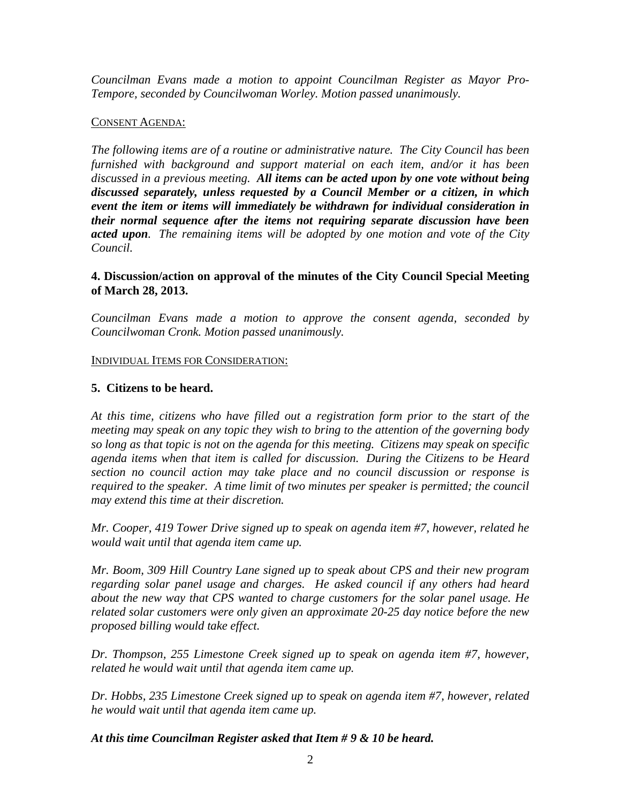*Councilman Evans made a motion to appoint Councilman Register as Mayor Pro-Tempore, seconded by Councilwoman Worley. Motion passed unanimously.*

### CONSENT AGENDA:

*The following items are of a routine or administrative nature. The City Council has been furnished with background and support material on each item, and/or it has been discussed in a previous meeting. All items can be acted upon by one vote without being discussed separately, unless requested by a Council Member or a citizen, in which event the item or items will immediately be withdrawn for individual consideration in their normal sequence after the items not requiring separate discussion have been acted upon. The remaining items will be adopted by one motion and vote of the City Council.*

### **4. Discussion/action on approval of the minutes of the City Council Special Meeting of March 28, 2013.**

*Councilman Evans made a motion to approve the consent agenda, seconded by Councilwoman Cronk. Motion passed unanimously.*

### INDIVIDUAL ITEMS FOR CONSIDERATION:

# **5. Citizens to be heard.**

*At this time, citizens who have filled out a registration form prior to the start of the meeting may speak on any topic they wish to bring to the attention of the governing body so long as that topic is not on the agenda for this meeting. Citizens may speak on specific agenda items when that item is called for discussion. During the Citizens to be Heard section no council action may take place and no council discussion or response is required to the speaker. A time limit of two minutes per speaker is permitted; the council may extend this time at their discretion.*

*Mr. Cooper, 419 Tower Drive signed up to speak on agenda item #7, however, related he would wait until that agenda item came up.*

*Mr. Boom, 309 Hill Country Lane signed up to speak about CPS and their new program regarding solar panel usage and charges. He asked council if any others had heard about the new way that CPS wanted to charge customers for the solar panel usage. He related solar customers were only given an approximate 20-25 day notice before the new proposed billing would take effect.*

*Dr. Thompson, 255 Limestone Creek signed up to speak on agenda item #7, however, related he would wait until that agenda item came up.*

*Dr. Hobbs, 235 Limestone Creek signed up to speak on agenda item #7, however, related he would wait until that agenda item came up.*

# *At this time Councilman Register asked that Item # 9 & 10 be heard.*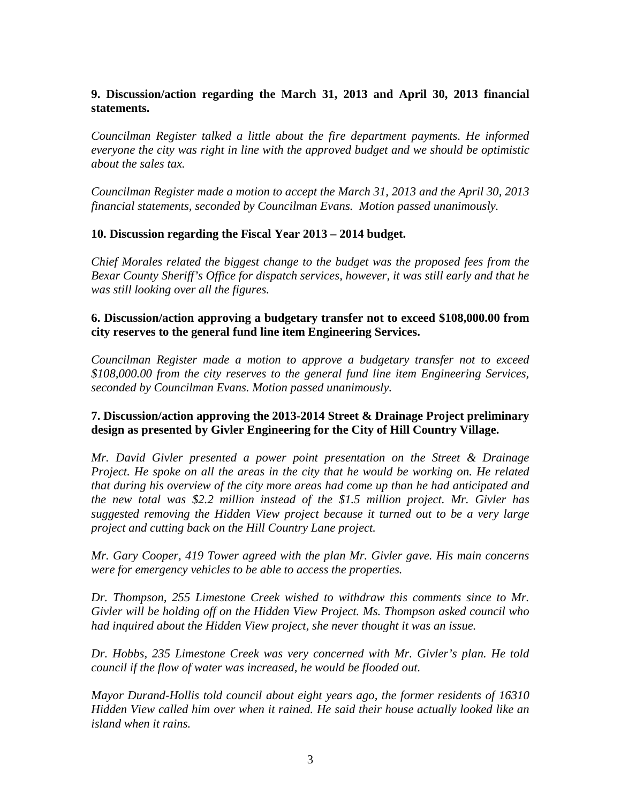# **9. Discussion/action regarding the March 31, 2013 and April 30, 2013 financial statements.**

*Councilman Register talked a little about the fire department payments. He informed everyone the city was right in line with the approved budget and we should be optimistic about the sales tax.*

*Councilman Register made a motion to accept the March 31, 2013 and the April 30, 2013 financial statements, seconded by Councilman Evans. Motion passed unanimously.*

#### **10. Discussion regarding the Fiscal Year 2013 – 2014 budget.**

*Chief Morales related the biggest change to the budget was the proposed fees from the Bexar County Sheriff's Office for dispatch services, however, it was still early and that he was still looking over all the figures.*

### **6. Discussion/action approving a budgetary transfer not to exceed \$108,000.00 from city reserves to the general fund line item Engineering Services.**

*Councilman Register made a motion to approve a budgetary transfer not to exceed \$108,000.00 from the city reserves to the general fund line item Engineering Services, seconded by Councilman Evans. Motion passed unanimously.*

# **7. Discussion/action approving the 2013-2014 Street & Drainage Project preliminary design as presented by Givler Engineering for the City of Hill Country Village.**

*Mr. David Givler presented a power point presentation on the Street & Drainage Project. He spoke on all the areas in the city that he would be working on. He related that during his overview of the city more areas had come up than he had anticipated and the new total was \$2.2 million instead of the \$1.5 million project. Mr. Givler has suggested removing the Hidden View project because it turned out to be a very large project and cutting back on the Hill Country Lane project.*

*Mr. Gary Cooper, 419 Tower agreed with the plan Mr. Givler gave. His main concerns were for emergency vehicles to be able to access the properties.*

*Dr. Thompson, 255 Limestone Creek wished to withdraw this comments since to Mr. Givler will be holding off on the Hidden View Project. Ms. Thompson asked council who had inquired about the Hidden View project, she never thought it was an issue.*

*Dr. Hobbs, 235 Limestone Creek was very concerned with Mr. Givler's plan. He told council if the flow of water was increased, he would be flooded out.* 

*Mayor Durand-Hollis told council about eight years ago, the former residents of 16310 Hidden View called him over when it rained. He said their house actually looked like an island when it rains.*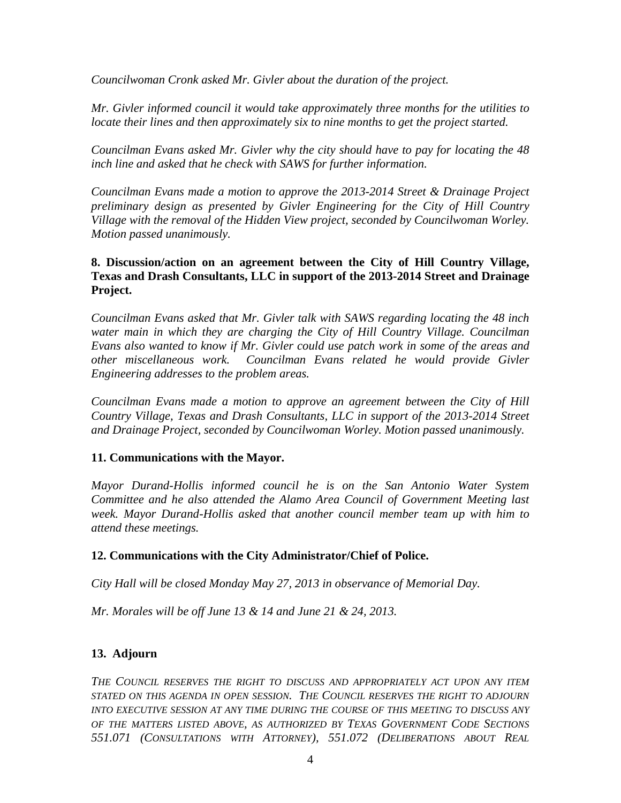*Councilwoman Cronk asked Mr. Givler about the duration of the project.* 

*Mr. Givler informed council it would take approximately three months for the utilities to locate their lines and then approximately six to nine months to get the project started.*

*Councilman Evans asked Mr. Givler why the city should have to pay for locating the 48 inch line and asked that he check with SAWS for further information.*

*Councilman Evans made a motion to approve the 2013-2014 Street & Drainage Project preliminary design as presented by Givler Engineering for the City of Hill Country Village with the removal of the Hidden View project, seconded by Councilwoman Worley. Motion passed unanimously.*

# **8. Discussion/action on an agreement between the City of Hill Country Village, Texas and Drash Consultants, LLC in support of the 2013-2014 Street and Drainage Project.**

*Councilman Evans asked that Mr. Givler talk with SAWS regarding locating the 48 inch water main in which they are charging the City of Hill Country Village. Councilman Evans also wanted to know if Mr. Givler could use patch work in some of the areas and other miscellaneous work. Councilman Evans related he would provide Givler Engineering addresses to the problem areas.*

*Councilman Evans made a motion to approve an agreement between the City of Hill Country Village, Texas and Drash Consultants, LLC in support of the 2013-2014 Street and Drainage Project, seconded by Councilwoman Worley. Motion passed unanimously.* 

# **11. Communications with the Mayor.**

*Mayor Durand-Hollis informed council he is on the San Antonio Water System Committee and he also attended the Alamo Area Council of Government Meeting last week. Mayor Durand-Hollis asked that another council member team up with him to attend these meetings.* 

# **12. Communications with the City Administrator/Chief of Police.**

*City Hall will be closed Monday May 27, 2013 in observance of Memorial Day.*

*Mr. Morales will be off June 13 & 14 and June 21 & 24, 2013.*

# **13. Adjourn**

*THE COUNCIL RESERVES THE RIGHT TO DISCUSS AND APPROPRIATELY ACT UPON ANY ITEM STATED ON THIS AGENDA IN OPEN SESSION. THE COUNCIL RESERVES THE RIGHT TO ADJOURN INTO EXECUTIVE SESSION AT ANY TIME DURING THE COURSE OF THIS MEETING TO DISCUSS ANY OF THE MATTERS LISTED ABOVE, AS AUTHORIZED BY TEXAS GOVERNMENT CODE SECTIONS 551.071 (CONSULTATIONS WITH ATTORNEY), 551.072 (DELIBERATIONS ABOUT REAL*